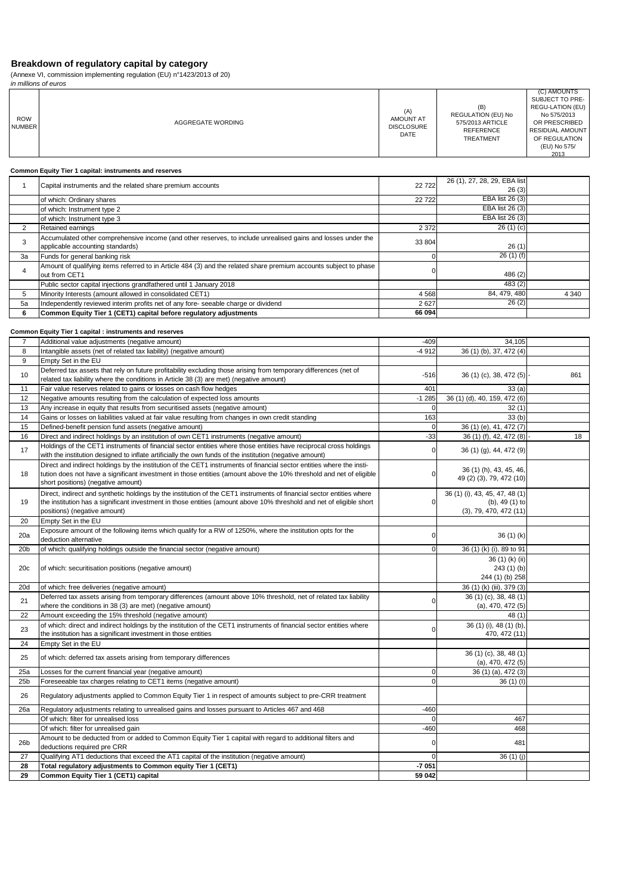(Annexe VI, commission implementing regulation (EU) n°1423/2013 of 20)

in millions of euros

|                      | ,,,,,,,,,,,,,,,,,,,,,,,,,,,,,,                                                                                                                                                                                                                                                     |                                                      |                                                                                |                                                                                                                                                       |
|----------------------|------------------------------------------------------------------------------------------------------------------------------------------------------------------------------------------------------------------------------------------------------------------------------------|------------------------------------------------------|--------------------------------------------------------------------------------|-------------------------------------------------------------------------------------------------------------------------------------------------------|
| <b>ROW</b><br>NUMBER | AGGREGATE WORDING                                                                                                                                                                                                                                                                  | (A)<br><b>AMOUNT AT</b><br><b>DISCLOSURE</b><br>DATE | (B)<br>REGULATION (EU) No<br>575/2013 ARTICLE<br><b>REFERENCE</b><br>TREATMENT | (C) AMOUNTS<br>SUBJECT TO PRE-<br><b>REGU-LATION (EU)</b><br>No 575/2013<br>OR PRESCRIBED<br>RESIDUAL AMOUNT<br>OF REGULATION<br>(EU) No 575/<br>2013 |
|                      | Common Equity Tier 1 capital: instruments and reserves                                                                                                                                                                                                                             |                                                      |                                                                                |                                                                                                                                                       |
| 1                    | Capital instruments and the related share premium accounts                                                                                                                                                                                                                         | 22722                                                | 26 (1), 27, 28, 29, EBA list<br>26(3)                                          |                                                                                                                                                       |
|                      | of which: Ordinary shares                                                                                                                                                                                                                                                          | 22722                                                | EBA list 26 (3)                                                                |                                                                                                                                                       |
|                      | of which: Instrument type 2                                                                                                                                                                                                                                                        |                                                      | EBA list 26 (3)                                                                |                                                                                                                                                       |
| $\overline{2}$       | of which: Instrument type 3<br>Retained earnings                                                                                                                                                                                                                                   | 2 3 7 2                                              | EBA list 26 (3)<br>26(1)(c)                                                    |                                                                                                                                                       |
|                      | Accumulated other comprehensive income (and other reserves, to include unrealised gains and losses under the                                                                                                                                                                       |                                                      |                                                                                |                                                                                                                                                       |
| 3                    | applicable accounting standards)                                                                                                                                                                                                                                                   | 33 804                                               | 26(1)                                                                          |                                                                                                                                                       |
| 3a                   | Funds for general banking risk                                                                                                                                                                                                                                                     | 0                                                    | 26(1)(f)                                                                       |                                                                                                                                                       |
| 4                    | Amount of qualifying items referred to in Article 484 (3) and the related share premium accounts subject to phase<br>out from CET1                                                                                                                                                 | $\mathbf 0$                                          | 486 (2)                                                                        |                                                                                                                                                       |
|                      | Public sector capital injections grandfathered until 1 January 2018                                                                                                                                                                                                                |                                                      | 483(2)                                                                         |                                                                                                                                                       |
| 5<br>5a              | Minority Interests (amount allowed in consolidated CET1)                                                                                                                                                                                                                           | 4568<br>2627                                         | 84, 479, 480<br>26(2)                                                          | 4 3 4 0                                                                                                                                               |
| 6                    | Independently reviewed interim profits net of any fore- seeable charge or dividend<br>Common Equity Tier 1 (CET1) capital before regulatory adjustments                                                                                                                            | 66 094                                               |                                                                                |                                                                                                                                                       |
|                      |                                                                                                                                                                                                                                                                                    |                                                      |                                                                                |                                                                                                                                                       |
|                      | Common Equity Tier 1 capital : instruments and reserves                                                                                                                                                                                                                            |                                                      |                                                                                |                                                                                                                                                       |
| 7<br>8               | Additional value adjustments (negative amount)<br>Intangible assets (net of related tax liability) (negative amount)                                                                                                                                                               | $-409$<br>$-4912$                                    | 34,105<br>36 (1) (b), 37, 472 (4)                                              |                                                                                                                                                       |
| 9                    | Empty Set in the EU                                                                                                                                                                                                                                                                |                                                      |                                                                                |                                                                                                                                                       |
| 10                   | Deferred tax assets that rely on future profitability excluding those arising from temporary differences (net of                                                                                                                                                                   | $-516$                                               | 36 (1) (c), 38, 472 (5)                                                        | 861                                                                                                                                                   |
|                      | related tax liability where the conditions in Article 38 (3) are met) (negative amount)                                                                                                                                                                                            |                                                      |                                                                                |                                                                                                                                                       |
| 11<br>12             | Fair value reserves related to gains or losses on cash flow hedges<br>Negative amounts resulting from the calculation of expected loss amounts                                                                                                                                     | 401<br>$-1285$                                       | 33(a)<br>36 (1) (d), 40, 159, 472 (6)                                          |                                                                                                                                                       |
| 13                   | Any increase in equity that results from securitised assets (negative amount)                                                                                                                                                                                                      | $\mathbf 0$                                          | 32(1)                                                                          |                                                                                                                                                       |
| 14                   | Gains or losses on liabilities valued at fair value resulting from changes in own credit standing                                                                                                                                                                                  | 163                                                  | 33(b)                                                                          |                                                                                                                                                       |
| 15                   | Defined-benefit pension fund assets (negative amount)                                                                                                                                                                                                                              | $\mathbf 0$                                          | 36 (1) (e), 41, 472 (7)                                                        |                                                                                                                                                       |
| 16                   | Direct and indirect holdings by an institution of own CET1 instruments (negative amount)<br>Holdings of the CET1 instruments of financial sector entities where those entities have reciprocal cross holdings                                                                      | $-33$                                                | 36 (1) (f), 42, 472 (8)                                                        | 18                                                                                                                                                    |
| 17                   | with the institution designed to inflate artificially the own funds of the institution (negative amount)                                                                                                                                                                           | 0                                                    | 36 (1) (g), 44, 472 (9)                                                        |                                                                                                                                                       |
| 18                   | Direct and indirect holdings by the institution of the CET1 instruments of financial sector entities where the insti-<br>tution does not have a significant investment in those entities (amount above the 10% threshold and net of eligible<br>short positions) (negative amount) | 0                                                    | 36 (1) (h), 43, 45, 46,<br>49 (2) (3), 79, 472 (10)                            |                                                                                                                                                       |
| 19                   | Direct, indirect and synthetic holdings by the institution of the CET1 instruments of financial sector entities where<br>the institution has a significant investment in those entities (amount above 10% threshold and net of eligible short<br>positions) (negative amount)      | $\mathbf 0$                                          | 36 (1) (i), 43, 45, 47, 48 (1)<br>(b), 49 (1) to<br>(3), 79, 470, 472(11)      |                                                                                                                                                       |
| 20                   | Empty Set in the EU                                                                                                                                                                                                                                                                |                                                      |                                                                                |                                                                                                                                                       |
| 20a                  | Exposure amount of the following items which qualify for a RW of 1250%, where the institution opts for the<br>deduction alternative                                                                                                                                                | 0                                                    | 36(1)(k)                                                                       |                                                                                                                                                       |
| 20 <sub>b</sub>      | of which: qualifying holdings outside the financial sector (negative amount)                                                                                                                                                                                                       | $\mathbf 0$                                          | 36 (1) (k) (i), 89 to 91                                                       |                                                                                                                                                       |
| 20c                  | of which: securitisation positions (negative amount)                                                                                                                                                                                                                               |                                                      | 36 (1) (k) (ii)<br>243 (1) (b)<br>244 (1) (b) 258                              |                                                                                                                                                       |
| 20d                  | of which: free deliveries (negative amount)                                                                                                                                                                                                                                        |                                                      | 36 (1) (k) (iii), 379 (3)                                                      |                                                                                                                                                       |
| 21                   | Deferred tax assets arising from temporary differences (amount above 10% threshold, net of related tax liability<br>where the conditions in 38 (3) are met) (negative amount)                                                                                                      | 0                                                    | 36 (1) (c), 38, 48 (1)<br>$(a)$ , 470, 472 $(5)$                               |                                                                                                                                                       |
| 22                   | Amount exceeding the 15% threshold (negative amount)                                                                                                                                                                                                                               |                                                      | 48(1)                                                                          |                                                                                                                                                       |
| 23                   | of which: direct and indirect holdings by the institution of the CET1 instruments of financial sector entities where                                                                                                                                                               | $\Omega$                                             | 36 (1) (i), 48 (1) (b),                                                        |                                                                                                                                                       |
| 24                   | the institution has a significant investment in those entities<br>Empty Set in the EU                                                                                                                                                                                              |                                                      | 470, 472 (11)                                                                  |                                                                                                                                                       |
| 25                   | of which: deferred tax assets arising from temporary differences                                                                                                                                                                                                                   |                                                      | 36 (1) (c), 38, 48 (1)                                                         |                                                                                                                                                       |
| 25a                  | Losses for the current financial year (negative amount)                                                                                                                                                                                                                            | 0                                                    | (a), 470, 472(5)<br>36 (1) (a), 472 (3)                                        |                                                                                                                                                       |
| 25 <sub>b</sub>      | Foreseeable tax charges relating to CET1 items (negative amount)                                                                                                                                                                                                                   | $\mathbf 0$                                          | 36(1)(1)                                                                       |                                                                                                                                                       |
| 26                   | Regulatory adjustments applied to Common Equity Tier 1 in respect of amounts subject to pre-CRR treatment                                                                                                                                                                          |                                                      |                                                                                |                                                                                                                                                       |
| 26a                  | Regulatory adjustments relating to unrealised gains and losses pursuant to Articles 467 and 468                                                                                                                                                                                    | $-460$                                               |                                                                                |                                                                                                                                                       |
|                      | Of which: filter for unrealised loss                                                                                                                                                                                                                                               | $\Omega$                                             | 467                                                                            |                                                                                                                                                       |
| 26 <sub>b</sub>      | Of which: filter for unrealised gain<br>Amount to be deducted from or added to Common Equity Tier 1 capital with regard to additional filters and                                                                                                                                  | $-460$<br>0                                          | 468<br>481                                                                     |                                                                                                                                                       |
| 27                   | deductions required pre CRR                                                                                                                                                                                                                                                        | $\mathbf 0$                                          |                                                                                |                                                                                                                                                       |
| 28                   | Qualifying AT1 deductions that exceed the AT1 capital of the institution (negative amount)<br>Total regulatory adjustments to Common equity Tier 1 (CET1)                                                                                                                          | $-7051$                                              | 36 (1) (j)                                                                     |                                                                                                                                                       |
| 29                   | Common Equity Tier 1 (CET1) capital                                                                                                                                                                                                                                                | 59 042                                               |                                                                                |                                                                                                                                                       |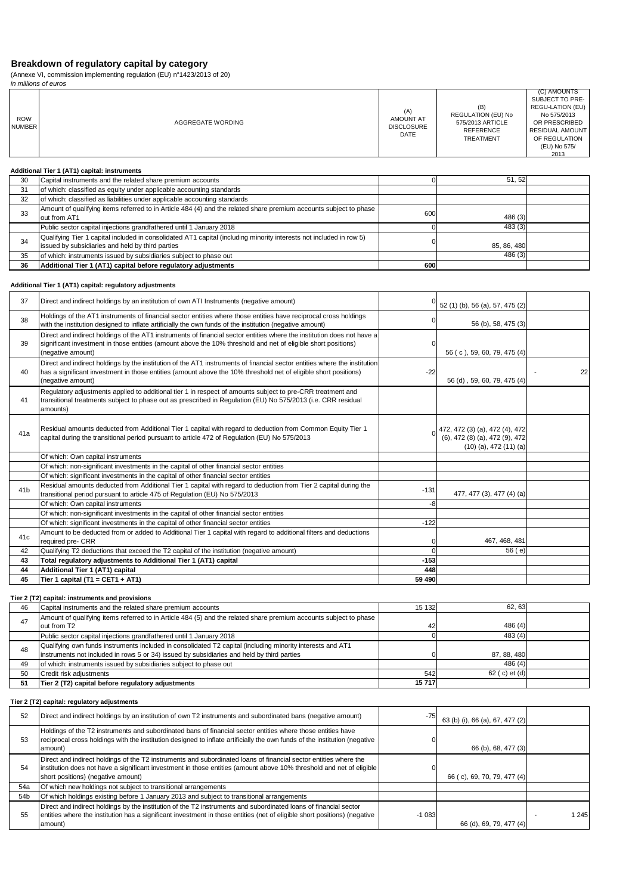(Annexe VI, commission implementing regulation (EU) n°1423/2013 of 20)

|                             | in millions of euros                                                                                                                                                    |                                                      |                                                                                              |                                                                                                                                                       |
|-----------------------------|-------------------------------------------------------------------------------------------------------------------------------------------------------------------------|------------------------------------------------------|----------------------------------------------------------------------------------------------|-------------------------------------------------------------------------------------------------------------------------------------------------------|
| <b>ROW</b><br><b>NUMBER</b> | AGGREGATE WORDING                                                                                                                                                       | (A)<br><b>AMOUNT AT</b><br><b>DISCLOSURE</b><br>DATE | (B)<br><b>REGULATION (EU) No</b><br>575/2013 ARTICLE<br><b>REFERENCE</b><br><b>TREATMENT</b> | (C) AMOUNTS<br>SUBJECT TO PRE-<br>REGU-LATION (EU)<br>No 575/2013<br>OR PRESCRIBED<br><b>RESIDUAL AMOUNT</b><br>OF REGULATION<br>(EU) No 575/<br>2013 |
|                             | Additional Tier 1 (AT1) capital: instruments                                                                                                                            |                                                      |                                                                                              |                                                                                                                                                       |
| 30                          | Capital instruments and the related share premium accounts                                                                                                              |                                                      | 51, 52                                                                                       |                                                                                                                                                       |
| 31                          | of which: classified as equity under applicable accounting standards                                                                                                    |                                                      |                                                                                              |                                                                                                                                                       |
| 32                          | of which: classified as liabilities under applicable accounting standards                                                                                               |                                                      |                                                                                              |                                                                                                                                                       |
| 33                          | Amount of qualifying items referred to in Article 484 (4) and the related share premium accounts subject to phase<br>out from AT1                                       | 600                                                  | 486 (3)                                                                                      |                                                                                                                                                       |
|                             | Public sector capital injections grandfathered until 1 January 2018                                                                                                     |                                                      | 483 (3)                                                                                      |                                                                                                                                                       |
| 34                          | Qualifying Tier 1 capital included in consolidated AT1 capital (including minority interests not included in row 5)<br>issued by subsidiaries and held by third parties |                                                      | 85, 86, 480                                                                                  |                                                                                                                                                       |
| 35                          | of which: instruments issued by subsidiaries subject to phase out                                                                                                       |                                                      | 486(3)                                                                                       |                                                                                                                                                       |

35 of which: instruments issued by subsidiaries subject to phase out <br>36 Additional Tier 1 (AT1) capital before regulatory adjustments 600

#### **Additional Tier 1 (AT1) capital: regulatory adjustments**

**36 Additional Tier 1 (AT1) capital before regulatory adjustments 600**

| 37              | Direct and indirect holdings by an institution of own ATI Instruments (negative amount)                                                                                                                                                                           |        | 52 (1) (b), 56 (a), 57, 475 (2)                                                                |    |
|-----------------|-------------------------------------------------------------------------------------------------------------------------------------------------------------------------------------------------------------------------------------------------------------------|--------|------------------------------------------------------------------------------------------------|----|
| 38              | Holdings of the AT1 instruments of financial sector entities where those entities have reciprocal cross holdings<br>with the institution designed to inflate artificially the own funds of the institution (negative amount)                                      |        | 56 (b), 58, 475 (3)                                                                            |    |
| 39              | Direct and indirect holdings of the AT1 instruments of financial sector entities where the institution does not have a<br>significant investment in those entities (amount above the 10% threshold and net of eligible short positions)<br>(negative amount)      |        | 56 (c), 59, 60, 79, 475 (4)                                                                    |    |
| 40              | Direct and indirect holdings by the institution of the AT1 instruments of financial sector entities where the institution<br>has a significant investment in those entities (amount above the 10% threshold net of eligible short positions)<br>(negative amount) | $-22$  | 56 (d), 59, 60, 79, 475 (4)                                                                    | 22 |
| 41              | Regulatory adjustments applied to additional tier 1 in respect of amounts subject to pre-CRR treatment and<br>transitional treatments subject to phase out as prescribed in Regulation (EU) No 575/2013 (i.e. CRR residual<br>amounts)                            |        |                                                                                                |    |
| 41a             | Residual amounts deducted from Additional Tier 1 capital with regard to deduction from Common Equity Tier 1<br>capital during the transitional period pursuant to article 472 of Regulation (EU) No 575/2013                                                      |        | 472, 472 (3) (a), 472 (4), 472<br>(6), 472 (8) (a), 472 (9), 472<br>$(10)$ (a), 472 $(11)$ (a) |    |
|                 | Of which: Own capital instruments                                                                                                                                                                                                                                 |        |                                                                                                |    |
|                 | Of which: non-significant investments in the capital of other financial sector entities                                                                                                                                                                           |        |                                                                                                |    |
|                 | Of which: significant investments in the capital of other financial sector entities                                                                                                                                                                               |        |                                                                                                |    |
| 41 <sub>b</sub> | Residual amounts deducted from Additional Tier 1 capital with regard to deduction from Tier 2 capital during the<br>transitional period pursuant to article 475 of Regulation (EU) No 575/2013                                                                    | $-131$ | 477, 477 (3), 477 (4) (a)                                                                      |    |
|                 | Of which: Own capital instruments                                                                                                                                                                                                                                 | -8     |                                                                                                |    |
|                 | Of which: non-significant investments in the capital of other financial sector entities                                                                                                                                                                           |        |                                                                                                |    |
|                 | Of which: significant investments in the capital of other financial sector entities                                                                                                                                                                               | $-122$ |                                                                                                |    |
| 41c             | Amount to be deducted from or added to Additional Tier 1 capital with regard to additional filters and deductions<br>required pre- CRR                                                                                                                            |        | 467, 468, 481                                                                                  |    |
| 42              | Qualifying T2 deductions that exceed the T2 capital of the institution (negative amount)                                                                                                                                                                          |        | 56(e)                                                                                          |    |
| 43              | Total regulatory adjustments to Additional Tier 1 (AT1) capital                                                                                                                                                                                                   | $-153$ |                                                                                                |    |
| 44              | Additional Tier 1 (AT1) capital                                                                                                                                                                                                                                   | 448    |                                                                                                |    |
| 45              | Tier 1 capital (T1 = CET1 + AT1)                                                                                                                                                                                                                                  | 59 490 |                                                                                                |    |

**Tier 2 (T2) capital: instruments and provisions**

| 46  | Capital instruments and the related share premium accounts                                                                                                                                               | 15 132 | 62.63          |  |
|-----|----------------------------------------------------------------------------------------------------------------------------------------------------------------------------------------------------------|--------|----------------|--|
| 47  | Amount of qualifying items referred to in Article 484 (5) and the related share premium accounts subject to phase<br>out from T2                                                                         | 42     | 486 $(4)$      |  |
|     | Public sector capital injections grandfathered until 1 January 2018                                                                                                                                      |        | 483(4)         |  |
| 48  | Qualifying own funds instruments included in consolidated T2 capital (including minority interests and AT1<br>instruments not included in rows 5 or 34) issued by subsidiaries and held by third parties |        | 87, 88, 480    |  |
| 49  | of which: instruments issued by subsidiaries subject to phase out                                                                                                                                        |        | 486(4)         |  |
| 50  | Credit risk adjustments                                                                                                                                                                                  | 542    | 62 ( c) et (d) |  |
| -51 | Tier 2 (T2) capital before regulatory adjustments                                                                                                                                                        | 15717  |                |  |

#### **Tier 2 (T2) capital: regulatory adjustments**

| 52              | Direct and indirect holdings by an institution of own T2 instruments and subordinated bans (negative amount)                                                                                                                                                                   | $-75$   | 63 (b) (i), 66 (a), 67, 477 (2) |       |
|-----------------|--------------------------------------------------------------------------------------------------------------------------------------------------------------------------------------------------------------------------------------------------------------------------------|---------|---------------------------------|-------|
| 53              | Holdings of the T2 instruments and subordinated bans of financial sector entities where those entities have<br>reciprocal cross holdings with the institution designed to inflate artificially the own funds of the institution (negative<br>amount)                           |         | 66 (b), 68, 477 (3)             |       |
| 54              | Direct and indirect holdings of the T2 instruments and subordinated loans of financial sector entities where the<br>institution does not have a significant investment in those entities (amount above 10% threshold and net of eligible<br>short positions) (negative amount) |         | 66 (c), 69, 70, 79, 477 (4)     |       |
| 54a             | Of which new holdings not subject to transitional arrangements                                                                                                                                                                                                                 |         |                                 |       |
| 54 <sub>b</sub> | Of which holdings existing before 1 January 2013 and subject to transitional arrangements                                                                                                                                                                                      |         |                                 |       |
| 55              | Direct and indirect holdings by the institution of the T2 instruments and subordinated loans of financial sector<br>entities where the institution has a significant investment in those entities (net of eligible short positions) (negative<br>amount)                       | $-1083$ | 66 (d), 69, 79, 477 (4)         | 1 245 |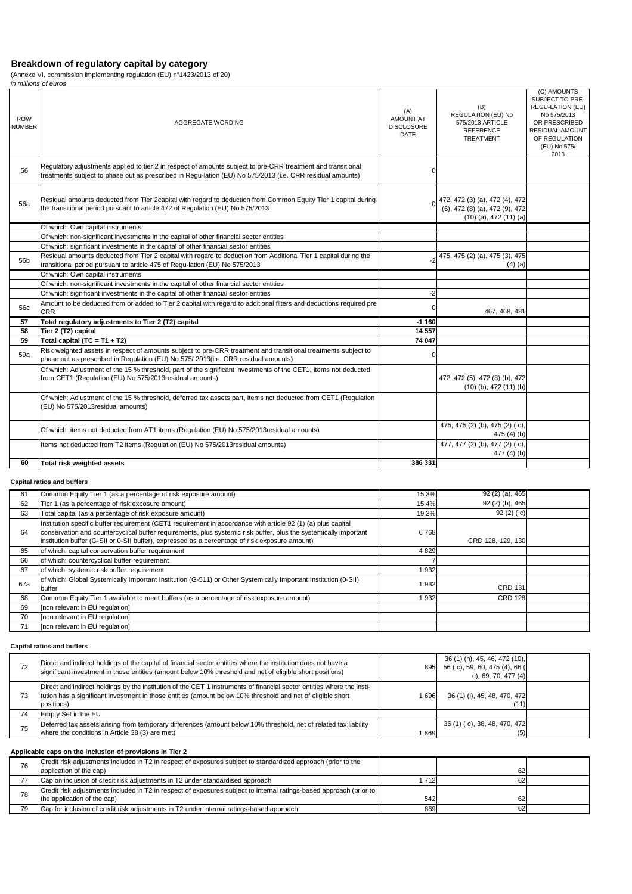(Annexe VI, commission implementing regulation (EU) n°1423/2013 of 20)

|                             | in millions of euros                                                                                                                                                                                                      |                                                             |                                                                                                |                                                                                                                                                       |
|-----------------------------|---------------------------------------------------------------------------------------------------------------------------------------------------------------------------------------------------------------------------|-------------------------------------------------------------|------------------------------------------------------------------------------------------------|-------------------------------------------------------------------------------------------------------------------------------------------------------|
| <b>ROW</b><br><b>NUMBER</b> | AGGREGATE WORDING                                                                                                                                                                                                         | (A)<br><b>AMOUNT AT</b><br><b>DISCLOSURE</b><br><b>DATE</b> | (B)<br><b>REGULATION (EU) No</b><br>575/2013 ARTICLE<br><b>REFERENCE</b><br><b>TREATMENT</b>   | (C) AMOUNTS<br>SUBJECT TO PRE-<br>REGU-LATION (EU)<br>No 575/2013<br>OR PRESCRIBED<br><b>RESIDUAL AMOUNT</b><br>OF REGULATION<br>(EU) No 575/<br>2013 |
| 56                          | Requlatory adjustments applied to tier 2 in respect of amounts subject to pre-CRR treatment and transitional<br>treatments subject to phase out as prescribed in Requ-lation (EU) No 575/2013 (i.e. CRR residual amounts) |                                                             |                                                                                                |                                                                                                                                                       |
| 56a                         | Residual amounts deducted from Tier 2capital with regard to deduction from Common Equity Tier 1 capital during<br>the transitional period pursuant to article 472 of Regulation (EU) No 575/2013                          |                                                             | 472, 472 (3) (a), 472 (4), 472<br>(6), 472 (8) (a), 472 (9), 472<br>$(10)$ (a), 472 $(11)$ (a) |                                                                                                                                                       |
|                             | Of which: Own capital instruments                                                                                                                                                                                         |                                                             |                                                                                                |                                                                                                                                                       |
|                             | Of which: non-significant investments in the capital of other financial sector entities                                                                                                                                   |                                                             |                                                                                                |                                                                                                                                                       |
|                             | Of which: significant investments in the capital of other financial sector entities                                                                                                                                       |                                                             |                                                                                                |                                                                                                                                                       |
| 56b                         | Residual amounts deducted from Tier 2 capital with regard to deduction from Additional Tier 1 capital during the<br>transitional period pursuant to article 475 of Regu-lation (EU) No 575/2013                           | -2                                                          | 475, 475 (2) (a), 475 (3), 475<br>$(4)$ (a)                                                    |                                                                                                                                                       |
|                             | Of which: Own capital instruments                                                                                                                                                                                         |                                                             |                                                                                                |                                                                                                                                                       |
|                             | Of which: non-significant investments in the capital of other financial sector entities                                                                                                                                   |                                                             |                                                                                                |                                                                                                                                                       |
|                             | Of which: significant investments in the capital of other financial sector entities                                                                                                                                       | $-2$                                                        |                                                                                                |                                                                                                                                                       |
| 56c                         | Amount to be deducted from or added to Tier 2 capital with regard to additional filters and deductions required pre<br><b>CRR</b>                                                                                         |                                                             | 467, 468, 481                                                                                  |                                                                                                                                                       |
| 57                          | Total regulatory adjustments to Tier 2 (T2) capital                                                                                                                                                                       | $-1160$                                                     |                                                                                                |                                                                                                                                                       |
| 58                          | Tier 2 (T2) capital                                                                                                                                                                                                       | 14 5 57                                                     |                                                                                                |                                                                                                                                                       |
| 59                          | Total capital $(TC = T1 + T2)$                                                                                                                                                                                            | 74 047                                                      |                                                                                                |                                                                                                                                                       |
| 59a                         | Risk weighted assets in respect of amounts subject to pre-CRR treatment and transitional treatments subject to<br>phase out as prescribed in Regulation (EU) No 575/2013(i.e. CRR residual amounts)                       |                                                             |                                                                                                |                                                                                                                                                       |
|                             | Of which: Adjustment of the 15 % threshold, part of the significant investments of the CET1, items not deducted<br>from CET1 (Regulation (EU) No 575/2013 residual amounts)                                               |                                                             | 472, 472 (5), 472 (8) (b), 472<br>$(10)$ (b), 472 $(11)$ (b)                                   |                                                                                                                                                       |
|                             | Of which: Adjustment of the 15 % threshold, deferred tax assets part, items not deducted from CET1 (Regulation<br>(EU) No 575/2013residual amounts)                                                                       |                                                             |                                                                                                |                                                                                                                                                       |
|                             | Of which: items not deducted from AT1 items (Regulation (EU) No 575/2013 residual amounts)                                                                                                                                |                                                             | 475, 475 (2) (b), 475 (2) (c),<br>475 $(4)$ $(b)$                                              |                                                                                                                                                       |
|                             | Items not deducted from T2 items (Regulation (EU) No 575/2013 residual amounts)                                                                                                                                           |                                                             | 477, 477 (2) (b), 477 (2) (c),<br>477 (4) (b)                                                  |                                                                                                                                                       |
| 60                          | Total risk weighted assets                                                                                                                                                                                                | 386 331                                                     |                                                                                                |                                                                                                                                                       |

#### **Capital ratios and buffers**

|     |                                                                                                                                                                                                                                                                                                                                    |       | 92 (2) (a), 465   |  |
|-----|------------------------------------------------------------------------------------------------------------------------------------------------------------------------------------------------------------------------------------------------------------------------------------------------------------------------------------|-------|-------------------|--|
| 61  | Common Equity Tier 1 (as a percentage of risk exposure amount)                                                                                                                                                                                                                                                                     | 15,3% |                   |  |
| 62  | Tier 1 (as a percentage of risk exposure amount)                                                                                                                                                                                                                                                                                   | 15,4% | 92 (2) (b), 465   |  |
| 63  | Total capital (as a percentage of risk exposure amount)                                                                                                                                                                                                                                                                            | 19,2% | 92(2)(c)          |  |
| 64  | Institution specific buffer requirement (CET1 requirement in accordance with article 92 (1) (a) plus capital<br>conservation and countercyclical buffer requirements, plus systemic risk buffer, plus the systemically important<br>institution buffer (G-SII or 0-SII buffer), expressed as a percentage of risk exposure amount) | 6768  | CRD 128, 129, 130 |  |
| 65  | of which: capital conservation buffer requirement                                                                                                                                                                                                                                                                                  | 4829  |                   |  |
| 66  | of which: countercyclical buffer requirement                                                                                                                                                                                                                                                                                       |       |                   |  |
| 67  | of which: systemic risk buffer requirement                                                                                                                                                                                                                                                                                         | 932   |                   |  |
| 67a | of which: Global Systemically Important Institution (G-511) or Other Systemically Important Institution (0-SII)<br>buffer                                                                                                                                                                                                          | 932   | <b>CRD 131</b>    |  |
| 68  | Common Equity Tier 1 available to meet buffers (as a percentage of risk exposure amount)                                                                                                                                                                                                                                           | 932   | <b>CRD 128</b>    |  |
| 69  | [non relevant in EU regulation]                                                                                                                                                                                                                                                                                                    |       |                   |  |
| 70  | [non relevant in EU regulation]                                                                                                                                                                                                                                                                                                    |       |                   |  |
| 71  | [non relevant in EU regulation]                                                                                                                                                                                                                                                                                                    |       |                   |  |

#### **Capital ratios and buffers**

|    | Direct and indirect holdings of the capital of financial sector entities where the institution does not have a<br>significant investment in those entities (amount below 10% threshold and net of eligible short positions)                         | 895  | 36 (1) (h), 45, 46, 472 (10),<br>56 (c), 59, 60, 475 (4), 66 (<br>c), 69, 70, 477 $(4)$ |  |
|----|-----------------------------------------------------------------------------------------------------------------------------------------------------------------------------------------------------------------------------------------------------|------|-----------------------------------------------------------------------------------------|--|
| 73 | Direct and indirect holdings by the institution of the CET 1 instruments of financial sector entities where the insti-<br>tution has a significant investment in those entities (amount below 10% threshold and net of eligible short<br>positions) | 696  | 36 (1) (i), 45, 48, 470, 472<br>(11)                                                    |  |
|    | Empty Set in the EU                                                                                                                                                                                                                                 |      |                                                                                         |  |
| 75 | Deferred tax assets arising from temporary differences (amount below 10% threshold, net of related tax liability<br>where the conditions in Article 38 (3) are met)                                                                                 | 1869 | 36 (1) (c), 38, 48, 470, 472<br>(5)                                                     |  |

# **Applicable caps on the inclusion of provisions in Tier 2**

| 76 | Credit risk adjustments included in T2 in respect of exposures subject to standardized approach (prior to the<br>application of the cap) |     | 62 |  |
|----|------------------------------------------------------------------------------------------------------------------------------------------|-----|----|--|
|    | Cap on inclusion of credit risk adjustments in T2 under standardised approach                                                            | 712 | 62 |  |
| 78 | Credit risk adjustments included in T2 in respect of exposures subject to internai ratings-based approach (prior to                      |     |    |  |
|    | the application of the cap)                                                                                                              | 542 | 62 |  |
| 79 | Cap for inclusion of credit risk adjustments in T2 under internal ratings-based approach                                                 | 869 | 62 |  |